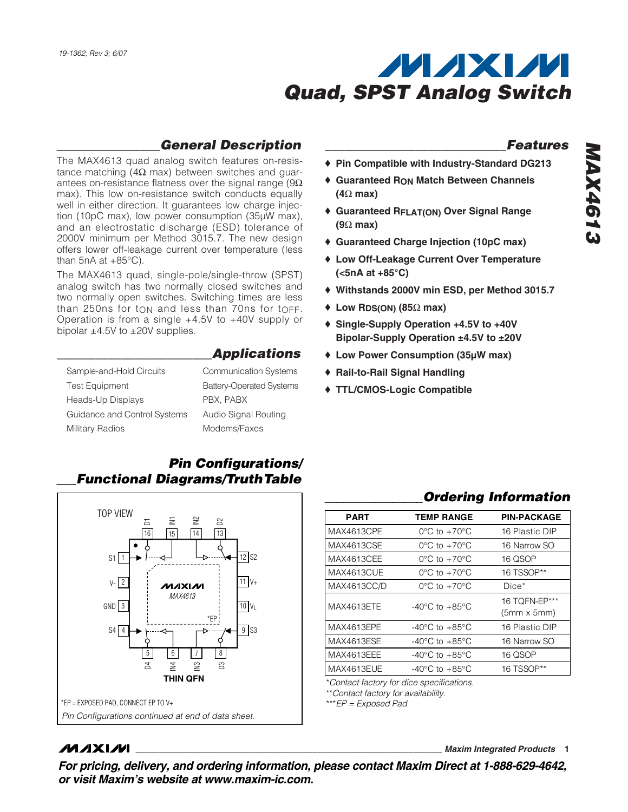

#### *\_\_\_\_\_\_\_\_\_\_\_\_\_\_\_\_General Description*

The MAX4613 quad analog switch features on-resistance matching (4Ω max) between switches and guarantees on-resistance flatness over the signal range ( $9\Omega$ ) max). This low on-resistance switch conducts equally well in either direction. It guarantees low charge injection (10pC max), low power consumption (35µW max), and an electrostatic discharge (ESD) tolerance of 2000V minimum per Method 3015.7. The new design offers lower off-leakage current over temperature (less than  $5nA$  at  $+85^{\circ}C$ ).

The MAX4613 quad, single-pole/single-throw (SPST) analog switch has two normally closed switches and two normally open switches. Switching times are less than 250ns for ton and less than 70ns for toff. Operation is from a single +4.5V to +40V supply or bipolar  $\pm 4.5V$  to  $\pm 20V$  supplies.

#### *\_\_\_\_\_\_\_\_\_\_\_\_\_\_\_\_\_\_\_\_\_\_\_\_Applications*

| Sample-and-Hold Circuits     | <b>Communication Syste</b>    |
|------------------------------|-------------------------------|
| <b>Test Equipment</b>        | <b>Battery-Operated Syste</b> |
| Heads-Up Displays            | PBX. PABX                     |
| Guidance and Control Systems | Audio Signal Routing          |
| <b>Military Radios</b>       | Modems/Faxes                  |

## Systems Systems

#### *Pin Configurations/ \_\_\_Functional Diagrams/TruthTable*



#### **MAXM**

*\_\_\_\_\_\_\_\_\_\_\_\_\_\_\_\_\_\_\_\_\_\_\_\_\_\_\_\_Features*

- ♦ **Pin Compatible with Industry-Standard DG213**
- ♦ **Guaranteed RON Match Between Channels (4**Ω **max)**
- ♦ **Guaranteed RFLAT(ON) Over Signal Range (9**Ω **max)**
- ♦ **Guaranteed Charge Injection (10pC max)**
- ♦ **Low Off-Leakage Current Over Temperature (<5nA at +85°C)**
- ♦ **Withstands 2000V min ESD, per Method 3015.7**
- ♦ **Low RDS(ON) (85**Ω **max)**
- ♦ **Single-Supply Operation +4.5V to +40V Bipolar-Supply Operation ±4.5V to ±20V**
- ♦ **Low Power Consumption (35µW max)**
- ♦ **Rail-to-Rail Signal Handling**
- ♦ **TTL/CMOS-Logic Compatible**

#### *\_\_\_\_\_\_\_\_\_\_\_\_\_\_\_\_Ordering Information*

| <b>PART</b> | <b>TEMP RANGE</b>                  | <b>PIN-PACKAGE</b>                  |
|-------------|------------------------------------|-------------------------------------|
| MAX4613CPE  | $0^{\circ}$ C to $+70^{\circ}$ C   | 16 Plastic DIP                      |
| MAX4613CSE  | $0^{\circ}$ C to +70 $^{\circ}$ C  | 16 Narrow SO                        |
| MAX4613CEE  | $0^{\circ}$ C to $+70^{\circ}$ C   | 16 QSOP                             |
| MAX4613CUE  | $0^{\circ}$ C to $+70^{\circ}$ C   | 16 TSSOP**                          |
| MAX4613CC/D | $0^{\circ}$ C to $+70^{\circ}$ C   | $Dice*$                             |
| MAX4613ETE  | $-40^{\circ}$ C to $+85^{\circ}$ C | 16 TOFN-EP***<br>$(5mm \times 5mm)$ |
| MAX4613EPE  | $-40^{\circ}$ C to $+85^{\circ}$ C | 16 Plastic DIP                      |
| MAX4613ESE  | $-40^{\circ}$ C to $+85^{\circ}$ C | 16 Narrow SO                        |
| MAX4613EEE  | $-40^{\circ}$ C to $+85^{\circ}$ C | 16 QSOP                             |
| MAX4613EUE  | $-40^{\circ}$ C to $+85^{\circ}$ C | 16 TSSOP**                          |

\*\**Contact factory for availability.*

\*\*\**EP = Exposed Pad*

**\_\_\_\_\_\_\_\_\_\_\_\_\_\_\_\_\_\_\_\_\_\_\_\_\_\_\_\_\_\_\_\_\_\_\_\_\_\_\_\_\_\_\_\_\_\_\_\_\_\_\_\_\_\_\_\_\_\_\_\_\_\_\_\_** *Maxim Integrated Products* **1**

*For pricing, delivery, and ordering information, please contact Maxim Direct at 1-888-629-4642, or visit Maxim's website at www.maxim-ic.com.*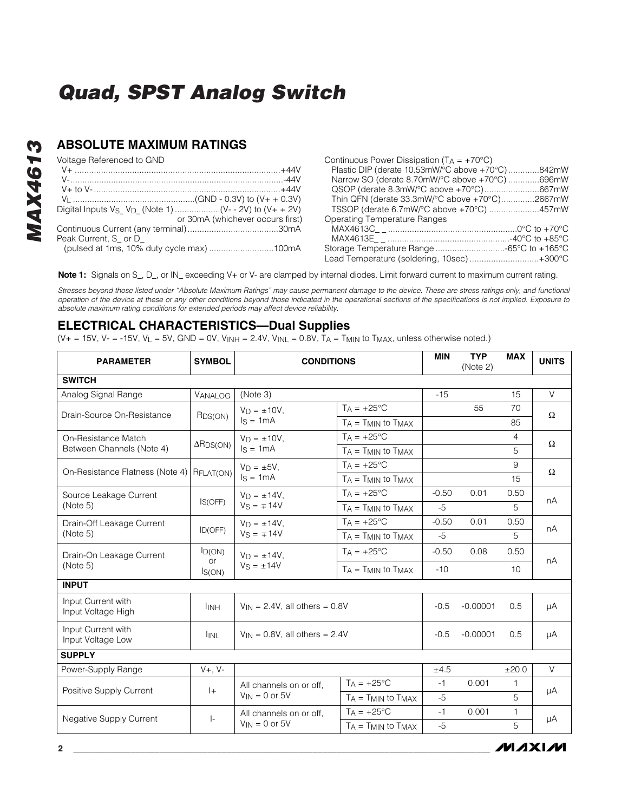#### **ABSOLUTE MAXIMUM RATINGS**

Voltage Referenced to GND

| Voltage Referenced to GND                 | Continuous Power Dissipation $(T_A = +70^{\circ}C)$ |
|-------------------------------------------|-----------------------------------------------------|
|                                           | Plastic DIP (derate 10.53mW/°C above +70°C) 842mW   |
|                                           | Narrow SO (derate 8.70mW/°C above +70°C) 696mW      |
|                                           |                                                     |
|                                           | Thin QFN (derate 33.3mW/°C above +70°C)2667mW       |
|                                           | TSSOP (derate 6.7mW/°C above +70°C) 457mW           |
| or 30mA (whichever occurs first)          | Operating Temperature Ranges                        |
|                                           |                                                     |
| Peak Current, S or D                      |                                                     |
| (pulsed at 1ms, 10% duty cycle max) 100mA |                                                     |
|                                           | Lead Temperature (soldering, 10sec)+300°C           |

**Note 1:** Signals on S\_, D\_, or IN\_ exceeding V+ or V- are clamped by internal diodes. Limit forward current to maximum current rating.

*Stresses beyond those listed under "Absolute Maximum Ratings" may cause permanent damage to the device. These are stress ratings only, and functional operation of the device at these or any other conditions beyond those indicated in the operational sections of the specifications is not implied. Exposure to absolute maximum rating conditions for extended periods may affect device reliability.*

#### **ELECTRICAL CHARACTERISTICS—Dual Supplies**

(V+ = 15V, V- = -15V, V<sub>L</sub> = 5V, GND = 0V, V<sub>INH</sub> = 2.4V, V<sub>INL</sub> = 0.8V, T<sub>A</sub> = T<sub>MIN</sub> to T<sub>MAX</sub>, unless otherwise noted.)

| <b>PARAMETER</b>                         | <b>SYMBOL</b>                | <b>CONDITIONS</b>                              |                              | <b>MIN</b> | <b>TYP</b><br>(Note 2) | <b>MAX</b>   | <b>UNITS</b> |
|------------------------------------------|------------------------------|------------------------------------------------|------------------------------|------------|------------------------|--------------|--------------|
| <b>SWITCH</b>                            |                              |                                                |                              |            |                        |              |              |
| Analog Signal Range                      | VANALOG                      | (Note 3)                                       |                              | $-15$      |                        | 15           | $\vee$       |
| Drain-Source On-Resistance               | R <sub>DS</sub> (ON)         | $V_D = \pm 10V$ .                              | $T_A = +25$ °C               |            | 55                     | 70           | $\Omega$     |
|                                          |                              | $Is = 1mA$                                     | $TA = TMIN TO TMAX$          |            |                        | 85           |              |
| On-Resistance Match                      | $\Delta$ R <sub>DS(ON)</sub> | $VD = ±10V$ .                                  | $TA = +25^{\circ}C$          |            |                        | 4            | $\Omega$     |
| Between Channels (Note 4)                |                              | $Is = 1mA$                                     | $TA = TMIN$ to $TMAX$        |            |                        | 5            |              |
| On-Resistance Flatness (Note 4)          |                              | $V_D = \pm 5V$ .                               | $T_A = +25^{\circ}C$         |            |                        | 9            | $\Omega$     |
|                                          | RFLAT(ON)                    | $Is = 1mA$                                     | $T_A = T_{MIN}$ to $T_{MAX}$ |            |                        | 15           |              |
| Source Leakage Current                   |                              | $V_D = \pm 14V$ .                              | $T_A = +25^{\circ}C$         | $-0.50$    | 0.01                   | 0.50         | nA           |
| (Note 5)                                 | IS(OFF)                      | $V_S = \pm 14V$                                | $T_A = T_{MIN}$ to $T_{MAX}$ | $-5$       |                        | 5            |              |
| Drain-Off Leakage Current                |                              | $V_D = \pm 14V$ .<br>ID(OFF)<br>$Vs = \mp 14V$ | $T_A = +25$ °C               | $-0.50$    | 0.01                   | 0.50         | nA           |
| (Note 5)                                 |                              |                                                | $TA = TMIN$ to $TMAX$        | $-5$       |                        | 5            |              |
| $I_{D(ON)}$<br>Drain-On Leakage Current  | $V_D = \pm 14V$ ,            | $TA = +25^{\circ}C$                            | $-0.50$                      | 0.08       | 0.50                   | nA           |              |
| (Note 5)                                 | or<br>IS(ON)                 | $Vs = ±14V$                                    | $T_A = T_{MIN}$ to $T_{MAX}$ | $-10$      |                        | 10           |              |
| <b>INPUT</b>                             |                              |                                                |                              |            |                        |              |              |
| Input Current with<br>Input Voltage High | <b>I</b> INH                 | $V_{\text{IN}}$ = 2.4V, all others = 0.8V      |                              | $-0.5$     | $-0.00001$             | 0.5          | μA           |
| Input Current with<br>Input Voltage Low  | <b>IINL</b>                  | $V_{IN} = 0.8V$ , all others = 2.4V            |                              | $-0.5$     | $-0.00001$             | 0.5          | μA           |
| <b>SUPPLY</b>                            |                              |                                                |                              |            |                        |              |              |
| Power-Supply Range                       | $V+$ , $V-$                  |                                                |                              | ±4.5       |                        | ±20.0        | $\vee$       |
| Positive Supply Current<br>$ + $         |                              | All channels on or off.<br>$V_{IN} = 0$ or 5V  | $T_A = +25$ °C               | $-1$       | 0.001                  | $\mathbf{1}$ | μA           |
|                                          |                              |                                                | $T_A = T_{MIN}$ to $T_{MAX}$ | $-5$       |                        | 5            |              |
|                                          | $\vert$ -                    | All channels on or off.                        | $TA = +25^{\circ}C$          | $-1$       | 0.001                  | 1            | μA           |
| <b>Negative Supply Current</b>           |                              | $V_{IN} = 0$ or 5V                             | $TA = TMIN$ to $TMAX$        |            |                        | 5            |              |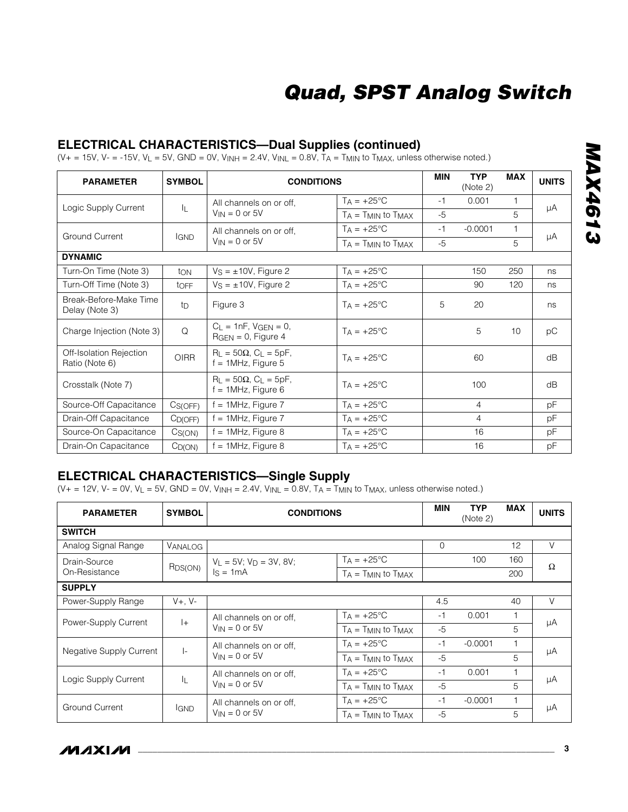#### **ELECTRICAL CHARACTERISTICS—Dual Supplies (continued)**

(V+ = 15V, V- = -15V, V<sub>L</sub> = 5V, GND = 0V, V<sub>INH</sub> = 2.4V, V<sub>INL</sub> = 0.8V, T<sub>A</sub> = T<sub>MIN</sub> to T<sub>MAX</sub>, unless otherwise noted.)

| <b>PARAMETER</b>                          | <b>SYMBOL</b>      | <b>CONDITIONS</b>                                         |                              | <b>MIN</b> | <b>TYP</b><br>(Note 2) | <b>MAX</b> | <b>UNITS</b> |
|-------------------------------------------|--------------------|-----------------------------------------------------------|------------------------------|------------|------------------------|------------|--------------|
|                                           |                    | All channels on or off.                                   | $T_A = +25^{\circ}C$         | -1         | 0.001                  |            |              |
| Logic Supply Current                      | IL.                | $V_{IN} = 0$ or 5V                                        | $T_A = T_{MIN}$ to $T_{MAX}$ | $-5$       |                        | 5          | μA           |
| <b>Ground Current</b>                     | <b>IGND</b>        | All channels on or off.                                   | $T_A = +25$ °C               | $-1$       | $-0.0001$              |            | μA           |
|                                           |                    | $V_{IN} = 0$ or 5V                                        | $T_A = T_{MIN}$ to $T_{MAX}$ | $-5$       |                        | 5          |              |
| <b>DYNAMIC</b>                            |                    |                                                           |                              |            |                        |            |              |
| Turn-On Time (Note 3)                     | ton                | $Vs = ±10V$ , Figure 2                                    | $TA = +25^{\circ}C$          |            | 150                    | 250        | ns           |
| Turn-Off Time (Note 3)                    | <b>t</b> OFF       | $V_S = \pm 10V$ , Figure 2                                | $T_A = +25^{\circ}C$         |            | 90                     | 120        | ns           |
| Break-Before-Make Time<br>Delay (Note 3)  | t <sub>D</sub>     | Figure 3                                                  | $T_A = +25^{\circ}C$         | 5          | 20                     |            | ns           |
| Charge Injection (Note 3)                 | Q                  | $C_L = 1nF$ , $V_{GEN} = 0$ ,<br>$RGEN = 0$ , Figure 4    | $Ta = +25^{\circ}C$          |            | 5                      | 10         | pC           |
| Off-Isolation Rejection<br>Ratio (Note 6) | <b>OIRR</b>        | $R_L = 50\Omega$ , $C_L = 5pF$ ,<br>$f = 1$ MHz, Figure 5 | $T_A = +25$ °C               |            | 60                     |            | dB           |
| Crosstalk (Note 7)                        |                    | $R_L = 50\Omega$ , $C_L = 5pF$ ,<br>$f = 1$ MHz, Figure 6 | $T_A = +25$ °C               |            | 100                    |            | dB           |
| Source-Off Capacitance                    | Cs(OFF)            | $f = 1$ MHz, Figure 7                                     | $TA = +25^{\circ}C$          |            | $\overline{4}$         |            | рF           |
| Drain-Off Capacitance                     | $C_{D(OFF)}$       | $f = 1$ MHz, Figure 7                                     | $T_A = +25^{\circ}C$         |            | 4                      |            | рF           |
| Source-On Capacitance                     | C <sub>S(ON)</sub> | $f = 1$ MHz, Figure 8                                     | $T_A = +25^{\circ}C$         |            | 16                     |            | рF           |
| Drain-On Capacitance                      | $C_{D(ON)}$        | $f = 1$ MHz, Figure 8                                     | $T_A = +25$ °C               |            | 16                     |            | pF           |

#### **ELECTRICAL CHARACTERISTICS—Single Supply**

 $(V_+ = 12V, V_- = 0V, V_L = 5V, GND = 0V, V_{INH} = 2.4V, V_{INL} = 0.8V, T_A = T_{MIN}$  to  $T_{MAX}$ , unless otherwise noted.)

| <b>PARAMETER</b>              | <b>SYMBOL</b>           | <b>CONDITIONS</b>             |                              |          | <b>TYP</b><br>(Note 2) | <b>MAX</b> | <b>UNITS</b> |
|-------------------------------|-------------------------|-------------------------------|------------------------------|----------|------------------------|------------|--------------|
| <b>SWITCH</b>                 |                         |                               |                              |          |                        |            |              |
| Analog Signal Range           | VANALOG                 |                               |                              | $\Omega$ |                        | 12         | V            |
| Drain-Source                  |                         | $V_L = 5V$ ; $V_D = 3V$ , 8V; | $Ta = +25^{\circ}C$          |          | 100                    | 160        | Ω            |
| On-Resistance                 | RDS(ON)                 | $Is = 1mA$                    | $TA = TMIN$ to $TMAX$        |          |                        | 200        |              |
| <b>SUPPLY</b>                 |                         |                               |                              |          |                        |            |              |
| Power-Supply Range            | $V_{+}$ , $V_{-}$       |                               |                              | 4.5      |                        | 40         | $\vee$       |
| $ +$                          | All channels on or off. | $T_A = +25$ °C                | $-1$                         | 0.001    |                        | μA         |              |
| Power-Supply Current          |                         | $V_{IN} = 0$ or 5V            | $TA = TMIN$ to $TMAX$        | $-5$     |                        | 5          |              |
|                               | $\vert$ -               | All channels on or off.       | $TA = +25^{\circ}C$          | $-1$     | $-0.0001$              |            |              |
| Negative Supply Current       | $V_{IN} = 0$ or 5V      | $T_A = T_{MIN}$ to $T_{MAX}$  | $-5$                         |          | 5                      | μA         |              |
| IL<br>Logic Supply Current    | All channels on or off. | $T_A = +25^{\circ}C$          | $-1$                         | 0.001    |                        |            |              |
|                               |                         | $V_{IN} = 0$ or 5V            | $T_A = T_{MIN}$ to $T_{MAX}$ | $-5$     |                        | 5          | μA           |
|                               |                         | All channels on or off.       | $T_A = +25$ °C               | $-1$     | $-0.0001$              |            |              |
| Ground Current<br><b>IGND</b> |                         | $V_{IN} = 0$ or $5V$          | $TA = TMIN$ to $TMAX$        | $-5$     |                        | 5          | μA           |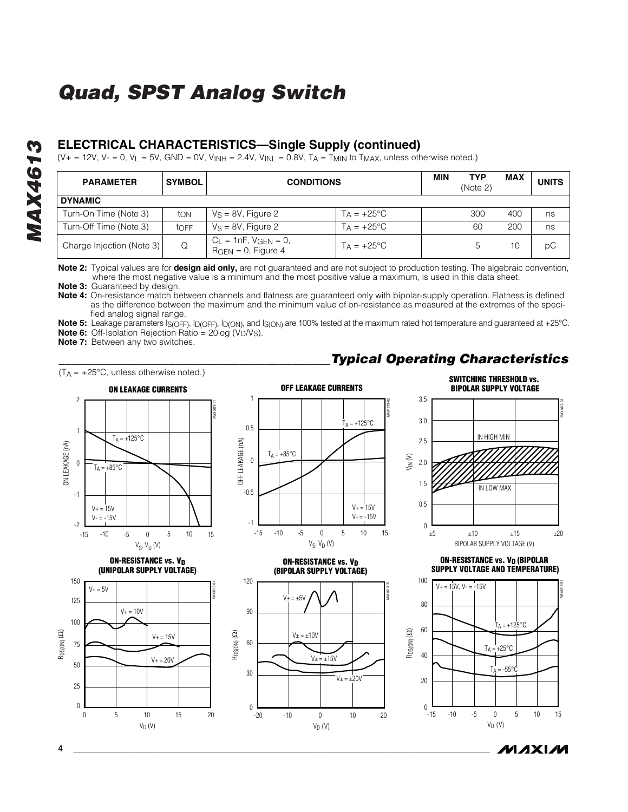#### **ELECTRICAL CHARACTERISTICS—Single Supply (continued)**

 $(V_{+} = 12V, V_{-} = 0, V_{L} = 5V, GND = 0V, V_{INH} = 2.4V, V_{INL} = 0.8V, T_A = T_{MIN}$  to  $T_{MAX}$ , unless otherwise noted.)

| <b>PARAMETER</b>          | <b>SYMBOL</b> | <b>CONDITIONS</b>                                      |                      |  | <b>TYP</b><br>(Note 2) | <b>MAX</b> | <b>UNITS</b> |
|---------------------------|---------------|--------------------------------------------------------|----------------------|--|------------------------|------------|--------------|
| <b>DYNAMIC</b>            |               |                                                        |                      |  |                        |            |              |
| Turn-On Time (Note 3)     | ton           | $V_S = 8V$ , Figure 2                                  | $T_A = +25^{\circ}C$ |  | 300                    | 400        | ns           |
| Turn-Off Time (Note 3)    | tOFF          | $V_S = 8V$ , Figure 2                                  | $Ta = +25^{\circ}C$  |  | 60                     | 200        | ns           |
| Charge Injection (Note 3) | Q             | $C_L = 1nF$ , $V_{GEN} = 0$ ,<br>$RGEN = 0$ , Figure 4 | $TA = +25^{\circ}C$  |  |                        | 10         | рC           |

**Note 2:** Typical values are for **design aid only,** are not guaranteed and are not subject to production testing. The algebraic convention, where the most negative value is a minimum and the most positive value a maximum, is used in this data sheet.

**Note 3:** Guaranteed by design.

**Note 4:** On-resistance match between channels and flatness are guaranteed only with bipolar-supply operation. Flatness is defined as the difference between the maximum and the minimum value of on-resistance as measured at the extremes of the specified analog signal range.

**Note 5:** Leakage parameters IS(OFF), ID(OFF), ID(ON), and IS(ON) are 100% tested at the maximum rated hot temperature and guaranteed at +25°C. **Note 6:** Off-Isolation Rejection Ratio = 20log (V<sub>D</sub>/V<sub>S</sub>).

**Note 7:** Between any two switches.



VIN (V)



**ON-RESISTANCE vs. VD (UNIPOLAR SUPPLY VOLTAGE)**





**ON-RESISTANCE vs. VD (BIPOLAR SUPPLY VOLTAGE)**





**SWITCHING THRESHOLD vs.** 



**ON-RESISTANCE vs. VD (BIPOLAR SUPPLY VOLTAGE AND TEMPERATURE)**





**MAX4613** *MAX4613*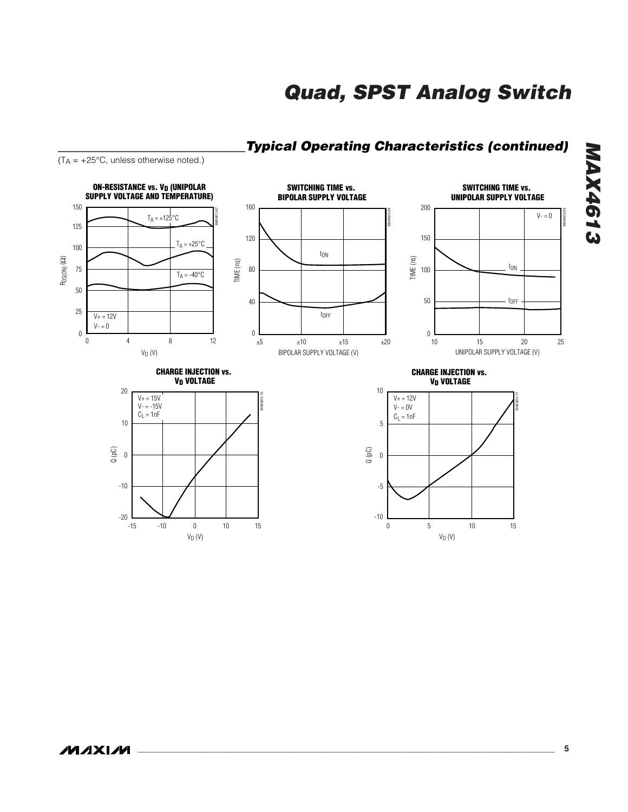

#### *\_\_\_\_\_\_\_\_\_\_\_\_\_\_\_\_\_\_\_\_\_\_\_\_\_\_\_\_\_Typical Operating Characteristics (continued)*

*MAX4613*

**MAX4613**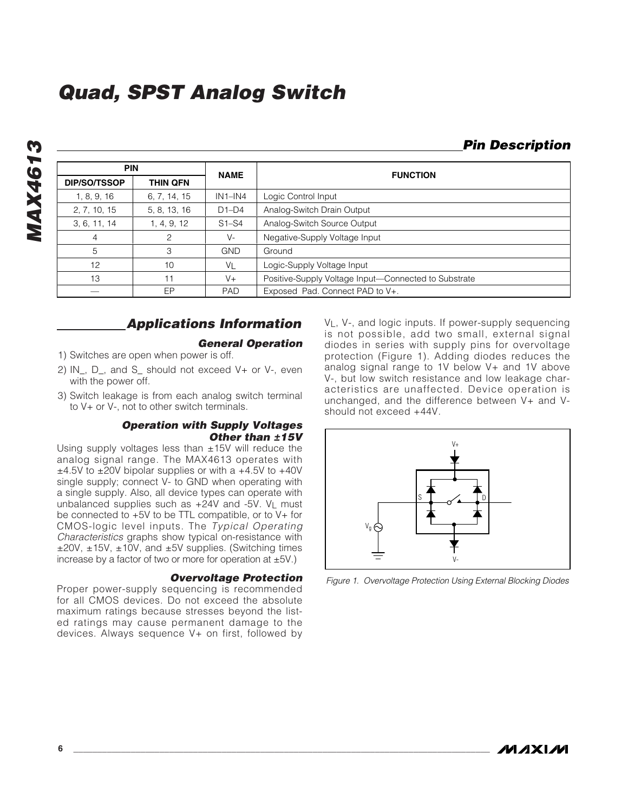#### *Pin Description*

| <b>PIN</b>          |              | <b>NAME</b>    | <b>FUNCTION</b>                                      |  |
|---------------------|--------------|----------------|------------------------------------------------------|--|
| <b>DIP/SO/TSSOP</b> | THIN QFN     |                |                                                      |  |
| 1, 8, 9, 16         | 6, 7, 14, 15 | $IN1-N4$       | Logic Control Input                                  |  |
| 2, 7, 10, 15        | 5, 8, 13, 16 | $D1-D4$        | Analog-Switch Drain Output                           |  |
| 3, 6, 11, 14        | 1, 4, 9, 12  | $S1-S4$        | Analog-Switch Source Output                          |  |
| 4                   | 2            | V-             | Negative-Supply Voltage Input                        |  |
| 5                   | 3            | <b>GND</b>     | Ground                                               |  |
| 12                  | 10           | V <sub>L</sub> | Logic-Supply Voltage Input                           |  |
| 13                  | 11           | $V +$          | Positive-Supply Voltage Input-Connected to Substrate |  |
|                     | EP           | <b>PAD</b>     | Exposed Pad. Connect PAD to V+.                      |  |

#### *Applications Information*

#### *General Operation*

- 1) Switches are open when power is off.
- 2) IN\_, D\_, and S\_ should not exceed V+ or V-, even with the power off.
- 3) Switch leakage is from each analog switch terminal to V+ or V-, not to other switch terminals.

#### *Operation with Supply Voltages Other than ±15V*

Using supply voltages less than  $±15V$  will reduce the analog signal range. The MAX4613 operates with  $\pm$ 4.5V to  $\pm$ 20V bipolar supplies or with a  $+$ 4.5V to  $+$ 40V single supply; connect V- to GND when operating with a single supply. Also, all device types can operate with unbalanced supplies such as +24V and -5V. VL must be connected to +5V to be TTL compatible, or to V+ for CMOS-logic level inputs. The *Typical Operating Characteristics* graphs show typical on-resistance with ±20V, ±15V, ±10V, and ±5V supplies. (Switching times increase by a factor of two or more for operation at  $\pm$ 5V.)

#### *Overvoltage Protection*

Proper power-supply sequencing is recommended for all CMOS devices. Do not exceed the absolute maximum ratings because stresses beyond the listed ratings may cause permanent damage to the devices. Always sequence V+ on first, followed by V<sub>L</sub>, V-, and logic inputs. If power-supply sequencing is not possible, add two small, external signal diodes in series with supply pins for overvoltage protection (Figure 1). Adding diodes reduces the analog signal range to 1V below V+ and 1V above V-, but low switch resistance and low leakage characteristics are unaffected. Device operation is unchanged, and the difference between V+ and Vshould not exceed +44V.



*Figure 1. Overvoltage Protection Using External Blocking Diodes*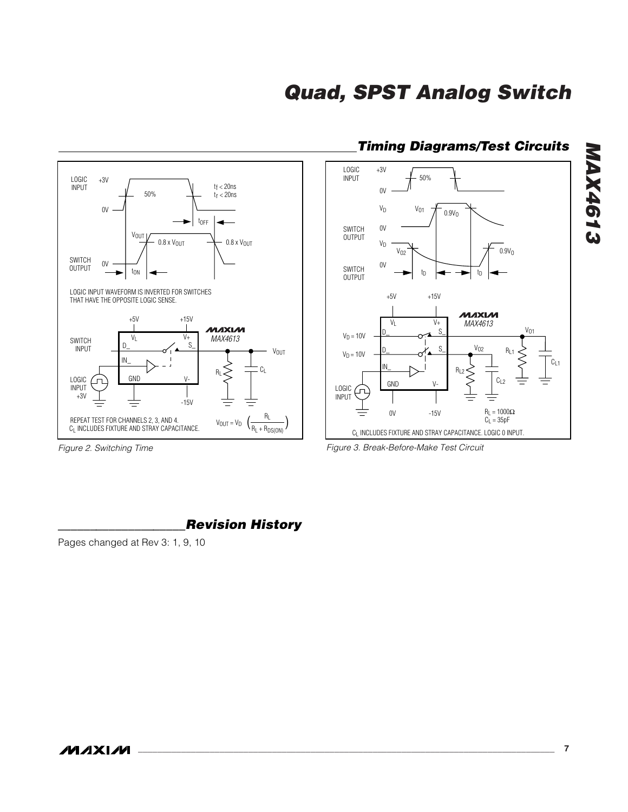

#### *Timing Diagrams/Test Circuits*



*Figure 2. Switching Time*

**MAXMI** 

*Figure 3. Break-Before-Make Test Circuit*

#### *\_\_\_\_\_\_\_\_\_\_\_\_\_\_\_\_\_\_\_\_Revision History*

Pages changed at Rev 3: 1, 9, 10

*MAX4613*

**MAX4613**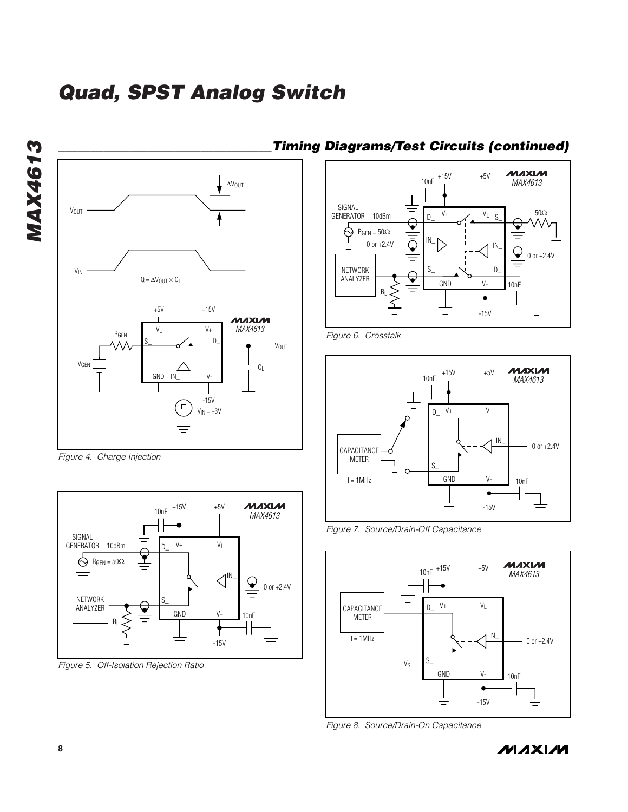**MAX4613** *MAX4613*



*Figure 4. Charge Injection*



*Figure 5. Off-Isolation Rejection Ratio*

#### *\_\_\_\_\_\_\_\_\_\_\_\_\_\_\_\_\_\_\_\_\_\_\_\_\_\_\_\_\_\_\_\_\_Timing Diagrams/Test Circuits (continued)*



*Figure 6. Crosstalk*



*Figure 7. Source/Drain-Off Capacitance*



*Figure 8. Source/Drain-On Capacitance*

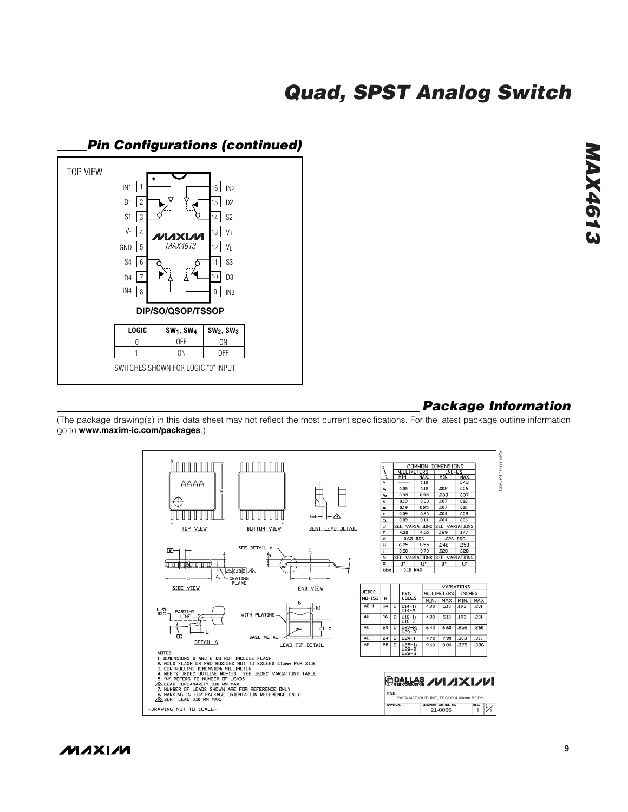

# *MAX4613* **MAX461:**

#### *Package Information*

(The package drawing(s) in this data sheet may not reflect the most current specifications. For the latest package outline information go to **www.maxim-ic.com/packages**.)